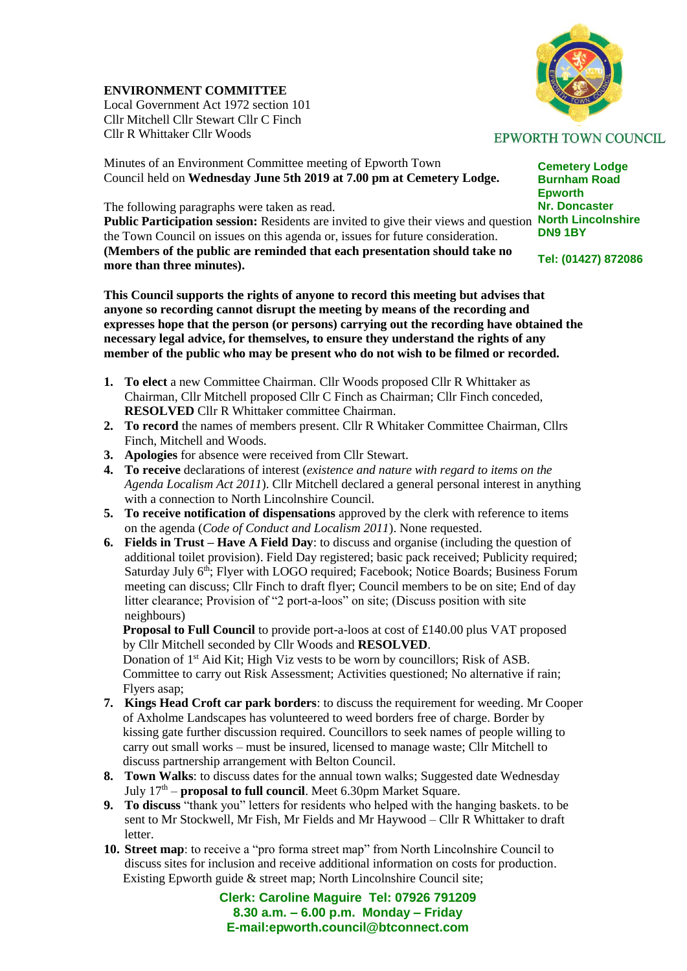## **ENVIRONMENT COMMITTEE**

Local Government Act 1972 section 101 Cllr Mitchell Cllr Stewart Cllr C Finch Cllr R Whittaker Cllr Woods

Minutes of an Environment Committee meeting of Epworth Town Council held on **Wednesday June 5th 2019 at 7.00 pm at Cemetery Lodge.** 

The following paragraphs were taken as read.

Public Participation session: Residents are invited to give their views and question North Lincolnshire the Town Council on issues on this agenda or, issues for future consideration. **(Members of the public are reminded that each presentation should take no more than three minutes).**

**This Council supports the rights of anyone to record this meeting but advises that anyone so recording cannot disrupt the meeting by means of the recording and expresses hope that the person (or persons) carrying out the recording have obtained the necessary legal advice, for themselves, to ensure they understand the rights of any member of the public who may be present who do not wish to be filmed or recorded.**

- **1. To elect** a new Committee Chairman. Cllr Woods proposed Cllr R Whittaker as Chairman, Cllr Mitchell proposed Cllr C Finch as Chairman; Cllr Finch conceded, **RESOLVED** Cllr R Whittaker committee Chairman.
- **2. To record** the names of members present. Cllr R Whitaker Committee Chairman, Cllrs Finch, Mitchell and Woods.
- **3. Apologies** for absence were received from Cllr Stewart.
- **4. To receive** declarations of interest (*existence and nature with regard to items on the Agenda Localism Act 2011*). Cllr Mitchell declared a general personal interest in anything with a connection to North Lincolnshire Council.
- **5. To receive notification of dispensations** approved by the clerk with reference to items on the agenda (*Code of Conduct and Localism 2011*). None requested.
- **6. Fields in Trust – Have A Field Day**: to discuss and organise (including the question of additional toilet provision). Field Day registered; basic pack received; Publicity required; Saturday July 6<sup>th</sup>; Flyer with LOGO required; Facebook; Notice Boards; Business Forum meeting can discuss; Cllr Finch to draft flyer; Council members to be on site; End of day litter clearance; Provision of "2 port-a-loos" on site; (Discuss position with site neighbours)

 **Proposal to Full Council** to provide port-a-loos at cost of £140.00 plus VAT proposed by Cllr Mitchell seconded by Cllr Woods and **RESOLVED**.

Donation of 1<sup>st</sup> Aid Kit; High Viz vests to be worn by councillors; Risk of ASB. Committee to carry out Risk Assessment; Activities questioned; No alternative if rain; Flyers asap;

- **7. Kings Head Croft car park borders**: to discuss the requirement for weeding. Mr Cooper of Axholme Landscapes has volunteered to weed borders free of charge. Border by kissing gate further discussion required. Councillors to seek names of people willing to carry out small works – must be insured, licensed to manage waste; Cllr Mitchell to discuss partnership arrangement with Belton Council.
- **8. Town Walks**: to discuss dates for the annual town walks; Suggested date Wednesday July 17<sup>th</sup> – **proposal to full council**. Meet 6.30pm Market Square.
- **9. To discuss** "thank you" letters for residents who helped with the hanging baskets. to be sent to Mr Stockwell, Mr Fish, Mr Fields and Mr Haywood – Cllr R Whittaker to draft letter.
- **10. Street map**: to receive a "pro forma street map" from North Lincolnshire Council to discuss sites for inclusion and receive additional information on costs for production. Existing Epworth guide & street map; North Lincolnshire Council site;

**Clerk: Caroline Maguire Tel: 07926 791209 8.30 a.m. – 6.00 p.m. Monday – Friday E-mail:epworth.council@btconnect.com**

## **EPWORTH TOWN COUNCIL**

**Cemetery Lodge Burnham Road Epworth Nr. Doncaster DN9 1BY**

**Tel: (01427) 872086**

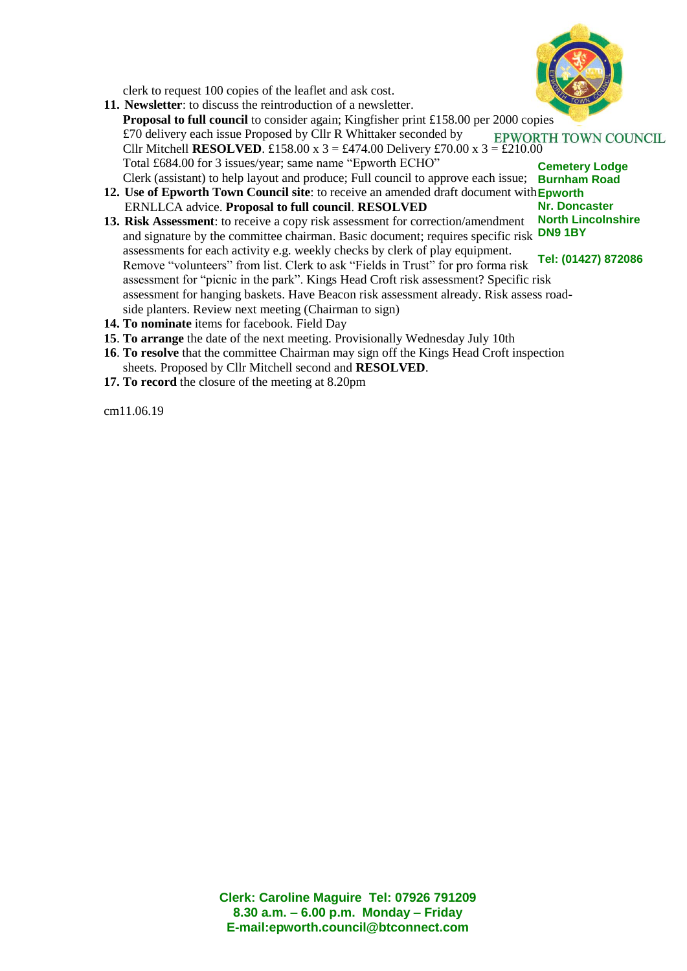

clerk to request 100 copies of the leaflet and ask cost.

- **11. Newsletter**: to discuss the reintroduction of a newsletter. **Proposal to full council** to consider again; Kingfisher print £158.00 per 2000 copies £70 delivery each issue Proposed by Cllr R Whittaker seconded by **EPWORTH TOWN COUNCIL** Cllr Mitchell **RESOLVED**. £158.00 x 3 = £474.00 Delivery £70.00 x 3 = £210.00 Total £684.00 for 3 issues/year; same name "Epworth ECHO" **Cemetery Lodge** Clerk (assistant) to help layout and produce; Full council to approve each issue; **Burnham Road**
- 12. Use of Epworth Town Council site: to receive an amended draft document with Epworth **Nr. Doncaster** ERNLLCA advice. **Proposal to full council**. **RESOLVED**
- **North Lincolnshire** and signature by the committee chairman. Basic document; requires specific risk **DN9 1BY Tel: (01427) 872086 13. Risk Assessment**: to receive a copy risk assessment for correction/amendment assessments for each activity e.g. weekly checks by clerk of play equipment. Remove "volunteers" from list. Clerk to ask "Fields in Trust" for pro forma risk assessment for "picnic in the park". Kings Head Croft risk assessment? Specific risk assessment for hanging baskets. Have Beacon risk assessment already. Risk assess road side planters. Review next meeting (Chairman to sign)
- **14. To nominate** items for facebook. Field Day
- **15**. **To arrange** the date of the next meeting. Provisionally Wednesday July 10th
- **16**. **To resolve** that the committee Chairman may sign off the Kings Head Croft inspection sheets. Proposed by Cllr Mitchell second and **RESOLVED**.
- **17. To record** the closure of the meeting at 8.20pm

cm11.06.19